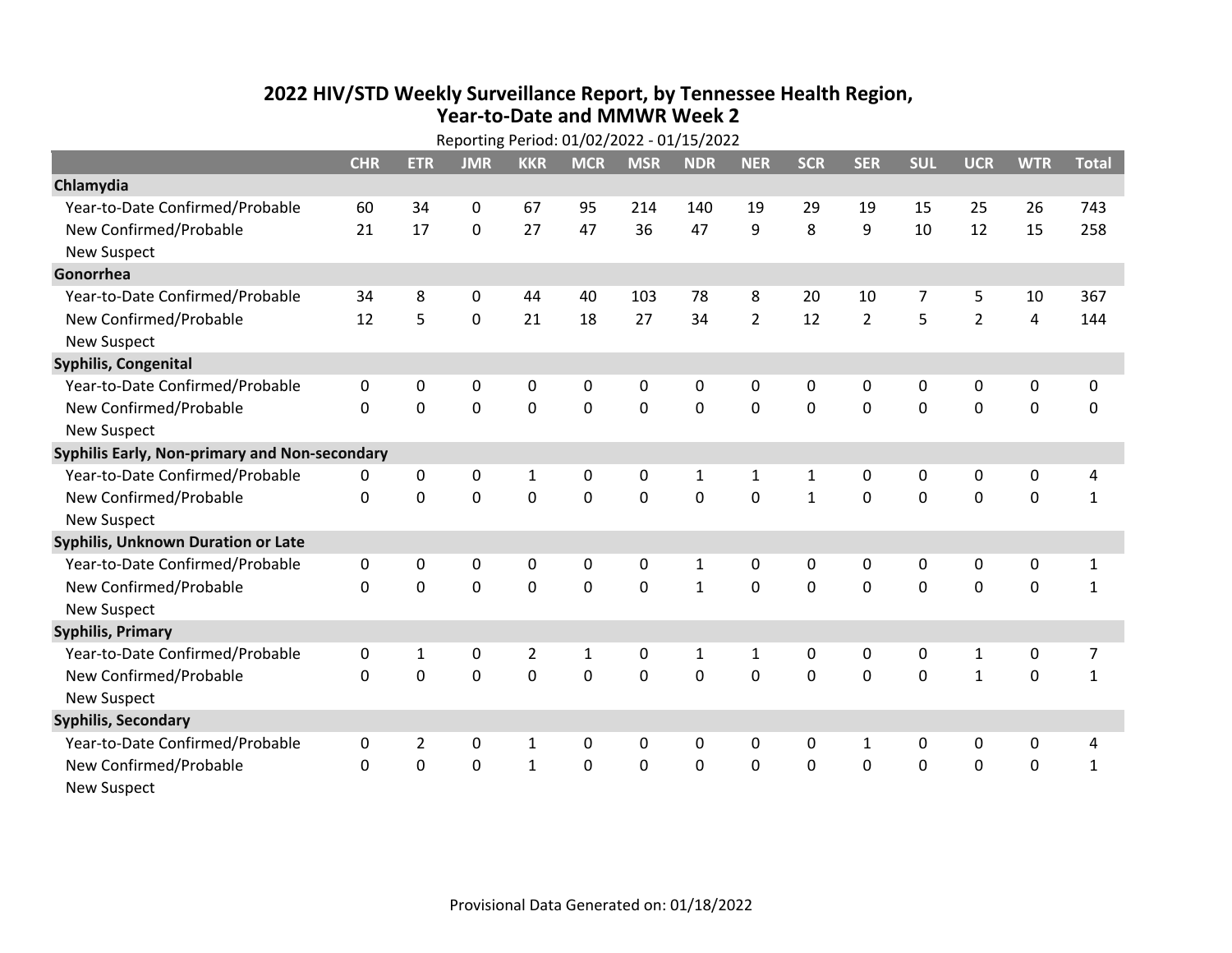## **2022 HIV /STD Weekly Surveillance Report, by Tennessee Health Region, Year‐to‐Date and MMWR Week 2**  $R_{\text{R}}$

| Reporting Period: 01/02/2022 - 01/15/2022     |            |                |             |                |              |             |              |                |              |                |              |                |                |              |
|-----------------------------------------------|------------|----------------|-------------|----------------|--------------|-------------|--------------|----------------|--------------|----------------|--------------|----------------|----------------|--------------|
|                                               | <b>CHR</b> | <b>ETR</b>     | <b>JMR</b>  | <b>KKR</b>     | <b>MCR</b>   | <b>MSR</b>  | <b>NDR</b>   | <b>NER</b>     | <b>SCR</b>   | <b>SER</b>     | <b>SUL</b>   | <b>UCR</b>     | <b>WTR</b>     | <b>Total</b> |
| Chlamydia                                     |            |                |             |                |              |             |              |                |              |                |              |                |                |              |
| Year-to-Date Confirmed/Probable               | 60         | 34             | $\Omega$    | 67             | 95           | 214         | 140          | 19             | 29           | 19             | 15           | 25             | 26             | 743          |
| New Confirmed/Probable                        | 21         | 17             | 0           | 27             | 47           | 36          | 47           | 9              | 8            | 9              | 10           | 12             | 15             | 258          |
| <b>New Suspect</b>                            |            |                |             |                |              |             |              |                |              |                |              |                |                |              |
| Gonorrhea                                     |            |                |             |                |              |             |              |                |              |                |              |                |                |              |
| Year-to-Date Confirmed/Probable               | 34         | 8              | 0           | 44             | 40           | 103         | 78           | 8              | 20           | 10             | 7            | 5              | 10             | 367          |
| New Confirmed/Probable                        | 12         | 5              | $\mathbf 0$ | 21             | 18           | 27          | 34           | $\overline{2}$ | 12           | $\overline{2}$ | 5            | $\overline{2}$ | $\overline{4}$ | 144          |
| <b>New Suspect</b>                            |            |                |             |                |              |             |              |                |              |                |              |                |                |              |
| <b>Syphilis, Congenital</b>                   |            |                |             |                |              |             |              |                |              |                |              |                |                |              |
| Year-to-Date Confirmed/Probable               | 0          | 0              | 0           | 0              | 0            | 0           | 0            | 0              | $\mathbf{0}$ | 0              | 0            | 0              | 0              | 0            |
| New Confirmed/Probable                        | $\Omega$   | 0              | 0           | 0              | $\mathbf 0$  | $\mathbf 0$ | 0            | $\Omega$       | $\Omega$     | $\mathbf 0$    | $\mathbf 0$  | $\mathbf 0$    | $\mathbf 0$    | 0            |
| <b>New Suspect</b>                            |            |                |             |                |              |             |              |                |              |                |              |                |                |              |
| Syphilis Early, Non-primary and Non-secondary |            |                |             |                |              |             |              |                |              |                |              |                |                |              |
| Year-to-Date Confirmed/Probable               | 0          | 0              | 0           | $\mathbf 1$    | 0            | 0           | $\mathbf{1}$ | 1              | $\mathbf{1}$ | 0              | 0            | 0              | 0              | 4            |
| New Confirmed/Probable                        | $\Omega$   | $\Omega$       | 0           | 0              | $\mathbf 0$  | 0           | 0            | $\Omega$       | $\mathbf{1}$ | $\mathbf 0$    | 0            | 0              | $\mathbf 0$    | $\mathbf{1}$ |
| <b>New Suspect</b>                            |            |                |             |                |              |             |              |                |              |                |              |                |                |              |
| Syphilis, Unknown Duration or Late            |            |                |             |                |              |             |              |                |              |                |              |                |                |              |
| Year-to-Date Confirmed/Probable               | 0          | 0              | 0           | 0              | 0            | 0           | 1            | $\mathbf{0}$   | 0            | $\mathbf{0}$   | 0            | 0              | 0              | $\mathbf{1}$ |
| New Confirmed/Probable                        | $\Omega$   | 0              | 0           | 0              | 0            | 0           | $\mathbf{1}$ | $\Omega$       | $\Omega$     | $\Omega$       | 0            | 0              | $\mathbf 0$    | $\mathbf{1}$ |
| <b>New Suspect</b>                            |            |                |             |                |              |             |              |                |              |                |              |                |                |              |
| <b>Syphilis, Primary</b>                      |            |                |             |                |              |             |              |                |              |                |              |                |                |              |
| Year-to-Date Confirmed/Probable               | 0          | $\mathbf{1}$   | 0           | $\overline{2}$ | $\mathbf{1}$ | $\Omega$    | $\mathbf{1}$ | 1              | 0            | $\mathbf{0}$   | $\mathbf{0}$ | $\mathbf{1}$   | 0              | 7            |
| New Confirmed/Probable                        | $\Omega$   | $\Omega$       | $\mathbf 0$ | 0              | $\Omega$     | $\Omega$    | $\mathbf 0$  | $\Omega$       | $\Omega$     | $\Omega$       | $\Omega$     | $\mathbf{1}$   | $\mathbf 0$    | $\mathbf{1}$ |
| <b>New Suspect</b>                            |            |                |             |                |              |             |              |                |              |                |              |                |                |              |
| <b>Syphilis, Secondary</b>                    |            |                |             |                |              |             |              |                |              |                |              |                |                |              |
| Year-to-Date Confirmed/Probable               | 0          | $\overline{2}$ | 0           | 1              | 0            | 0           | 0            | $\mathbf{0}$   | 0            | 1              | $\mathbf{0}$ | 0              | 0              | 4            |
| New Confirmed/Probable                        | 0          | $\mathbf 0$    | $\mathbf 0$ | $\mathbf{1}$   | $\mathbf 0$  | $\mathbf 0$ | $\Omega$     | $\Omega$       | $\Omega$     | $\mathbf 0$    | $\mathbf 0$  | $\mathbf 0$    | $\mathbf 0$    | $\mathbf{1}$ |
| New Suspect                                   |            |                |             |                |              |             |              |                |              |                |              |                |                |              |